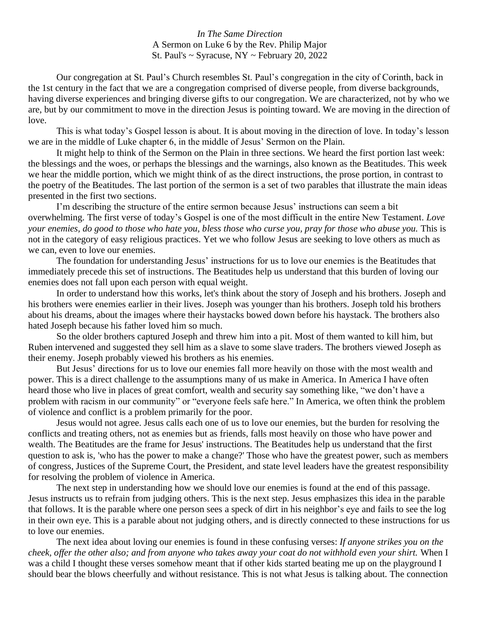## *In The Same Direction* A Sermon on Luke 6 by the Rev. Philip Major St. Paul's ~ Syracuse, NY ~ February 20, 2022

Our congregation at St. Paul's Church resembles St. Paul's congregation in the city of Corinth, back in the 1st century in the fact that we are a congregation comprised of diverse people, from diverse backgrounds, having diverse experiences and bringing diverse gifts to our congregation. We are characterized, not by who we are, but by our commitment to move in the direction Jesus is pointing toward. We are moving in the direction of love.

This is what today's Gospel lesson is about. It is about moving in the direction of love. In today's lesson we are in the middle of Luke chapter 6, in the middle of Jesus' Sermon on the Plain.

It might help to think of the Sermon on the Plain in three sections. We heard the first portion last week: the blessings and the woes, or perhaps the blessings and the warnings, also known as the Beatitudes. This week we hear the middle portion, which we might think of as the direct instructions, the prose portion, in contrast to the poetry of the Beatitudes. The last portion of the sermon is a set of two parables that illustrate the main ideas presented in the first two sections.

I'm describing the structure of the entire sermon because Jesus' instructions can seem a bit overwhelming. The first verse of today's Gospel is one of the most difficult in the entire New Testament. *Love your enemies, do good to those who hate you, bless those who curse you, pray for those who abuse you.* This is not in the category of easy religious practices. Yet we who follow Jesus are seeking to love others as much as we can, even to love our enemies.

The foundation for understanding Jesus' instructions for us to love our enemies is the Beatitudes that immediately precede this set of instructions. The Beatitudes help us understand that this burden of loving our enemies does not fall upon each person with equal weight.

In order to understand how this works, let's think about the story of Joseph and his brothers. Joseph and his brothers were enemies earlier in their lives. Joseph was younger than his brothers. Joseph told his brothers about his dreams, about the images where their haystacks bowed down before his haystack. The brothers also hated Joseph because his father loved him so much.

So the older brothers captured Joseph and threw him into a pit. Most of them wanted to kill him, but Ruben intervened and suggested they sell him as a slave to some slave traders. The brothers viewed Joseph as their enemy. Joseph probably viewed his brothers as his enemies.

But Jesus' directions for us to love our enemies fall more heavily on those with the most wealth and power. This is a direct challenge to the assumptions many of us make in America. In America I have often heard those who live in places of great comfort, wealth and security say something like, "we don't have a problem with racism in our community" or "everyone feels safe here." In America, we often think the problem of violence and conflict is a problem primarily for the poor.

Jesus would not agree. Jesus calls each one of us to love our enemies, but the burden for resolving the conflicts and treating others, not as enemies but as friends, falls most heavily on those who have power and wealth. The Beatitudes are the frame for Jesus' instructions. The Beatitudes help us understand that the first question to ask is, 'who has the power to make a change?' Those who have the greatest power, such as members of congress, Justices of the Supreme Court, the President, and state level leaders have the greatest responsibility for resolving the problem of violence in America.

The next step in understanding how we should love our enemies is found at the end of this passage. Jesus instructs us to refrain from judging others. This is the next step. Jesus emphasizes this idea in the parable that follows. It is the parable where one person sees a speck of dirt in his neighbor's eye and fails to see the log in their own eye. This is a parable about not judging others, and is directly connected to these instructions for us to love our enemies.

The next idea about loving our enemies is found in these confusing verses: *If anyone strikes you on the cheek, offer the other also; and from anyone who takes away your coat do not withhold even your shirt.* When I was a child I thought these verses somehow meant that if other kids started beating me up on the playground I should bear the blows cheerfully and without resistance. This is not what Jesus is talking about. The connection